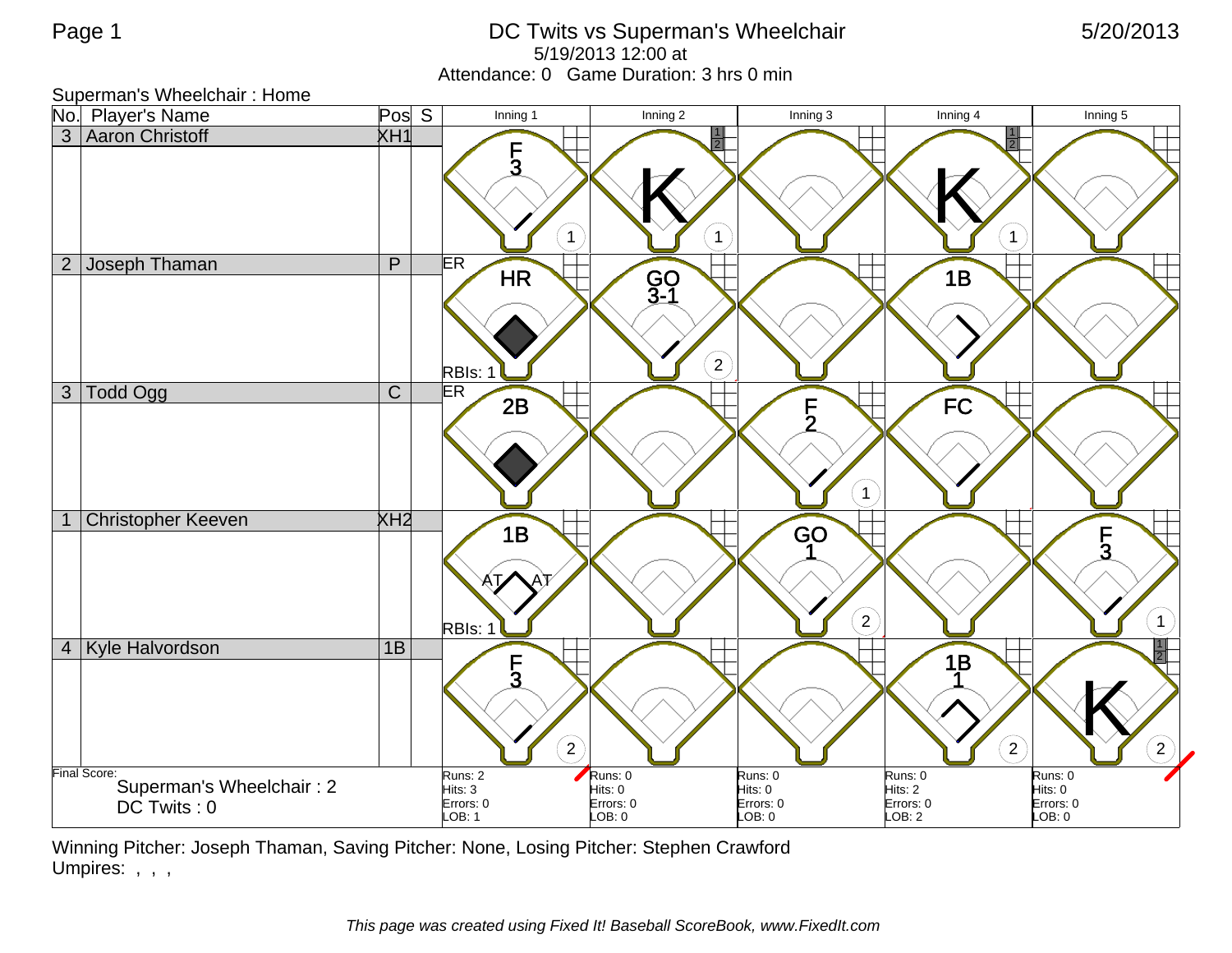## Page 1 **DC Twits vs Superman's Wheelchair** 5/20/2013 5/19/2013 12:00 at Attendance: 0 Game Duration: 3 hrs 0 min

Superman's Wheelchair : Home



Winning Pitcher: Joseph Thaman, Saving Pitcher: None, Losing Pitcher: Stephen Crawford Umpires: , , ,